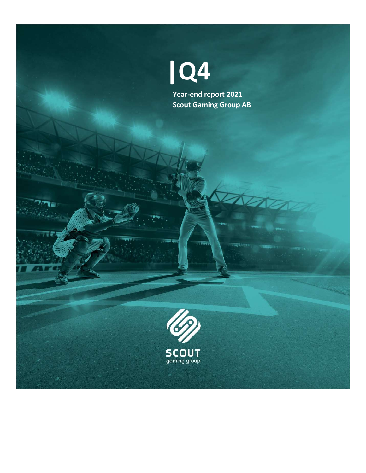# |Q4

 Year-end report 2021 Scout Gaming Group AB

**Than** 

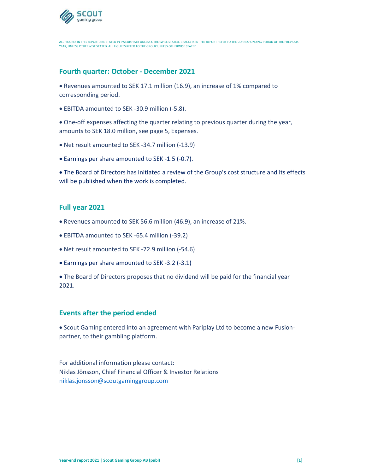

ALL FIGURES IN THIS REPORT ARE STATED IN SWEDISH SEK UNLESS OTHERWISE STATED. BRACKETS IN THIS REPORT REFER TO THE CORRESPONDING PERIOD OF THE PREVIOUS YEAR, UNLESS OTHERWISE STATED. ALL FIGURES REFER TO THE GROUP UNLESS OTHERWISE STATED.

## Fourth quarter: October - December 2021

 Revenues amounted to SEK 17.1 million (16.9), an increase of 1% compared to corresponding period.

EBITDA amounted to SEK -30.9 million (-5.8).

 One-off expenses affecting the quarter relating to previous quarter during the year, amounts to SEK 18.0 million, see page 5, Expenses.

- Net result amounted to SEK -34.7 million (-13.9)
- Earnings per share amounted to SEK -1.5 (-0.7).

 The Board of Directors has initiated a review of the Group's cost structure and its effects will be published when the work is completed.

## Full year 2021

- Revenues amounted to SEK 56.6 million (46.9), an increase of 21%.
- EBITDA amounted to SEK -65.4 million (-39.2)
- Net result amounted to SEK -72.9 million (-54.6)
- Earnings per share amounted to SEK -3.2 (-3.1)

 The Board of Directors proposes that no dividend will be paid for the financial year 2021.

## Events after the period ended

 Scout Gaming entered into an agreement with Pariplay Ltd to become a new Fusionpartner, to their gambling platform.

For additional information please contact: Niklas Jönsson, Chief Financial Officer & Investor Relations niklas.jonsson@scoutgaminggroup.com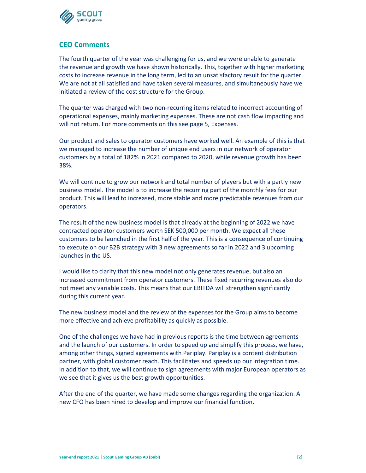

# CEO Comments

The fourth quarter of the year was challenging for us, and we were unable to generate the revenue and growth we have shown historically. This, together with higher marketing costs to increase revenue in the long term, led to an unsatisfactory result for the quarter. We are not at all satisfied and have taken several measures, and simultaneously have we initiated a review of the cost structure for the Group.

The quarter was charged with two non-recurring items related to incorrect accounting of operational expenses, mainly marketing expenses. These are not cash flow impacting and will not return. For more comments on this see page 5, Expenses.

Our product and sales to operator customers have worked well. An example of this is that we managed to increase the number of unique end users in our network of operator customers by a total of 182% in 2021 compared to 2020, while revenue growth has been 38%.

We will continue to grow our network and total number of players but with a partly new business model. The model is to increase the recurring part of the monthly fees for our product. This will lead to increased, more stable and more predictable revenues from our operators.

The result of the new business model is that already at the beginning of 2022 we have contracted operator customers worth SEK 500,000 per month. We expect all these customers to be launched in the first half of the year. This is a consequence of continuing to execute on our B2B strategy with 3 new agreements so far in 2022 and 3 upcoming launches in the US.

I would like to clarify that this new model not only generates revenue, but also an increased commitment from operator customers. These fixed recurring revenues also do not meet any variable costs. This means that our EBITDA will strengthen significantly during this current year.

The new business model and the review of the expenses for the Group aims to become more effective and achieve profitability as quickly as possible.

One of the challenges we have had in previous reports is the time between agreements and the launch of our customers. In order to speed up and simplify this process, we have, among other things, signed agreements with Pariplay. Pariplay is a content distribution partner, with global customer reach. This facilitates and speeds up our integration time. In addition to that, we will continue to sign agreements with major European operators as we see that it gives us the best growth opportunities.

After the end of the quarter, we have made some changes regarding the organization. A new CFO has been hired to develop and improve our financial function.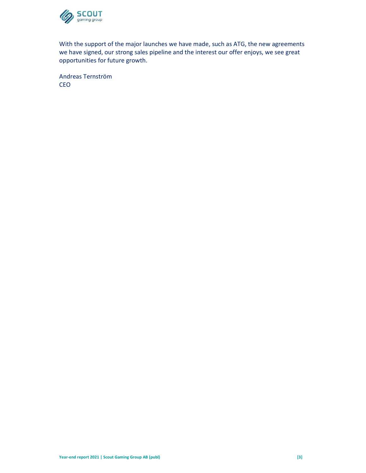

With the support of the major launches we have made, such as ATG, the new agreements we have signed, our strong sales pipeline and the interest our offer enjoys, we see great opportunities for future growth.

Andreas Ternström CEO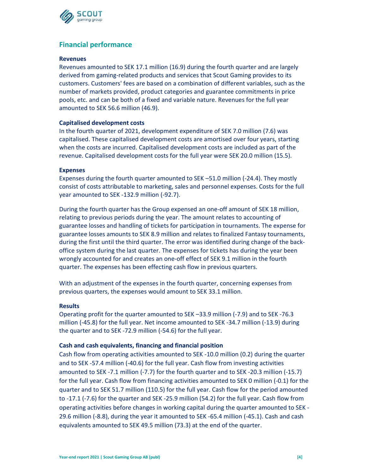

# Financial performance

#### Revenues

Revenues amounted to SEK 17.1 million (16.9) during the fourth quarter and are largely derived from gaming-related products and services that Scout Gaming provides to its customers. Customers' fees are based on a combination of different variables, such as the number of markets provided, product categories and guarantee commitments in price pools, etc. and can be both of a fixed and variable nature. Revenues for the full year amounted to SEK 56.6 million (46.9).

#### Capitalised development costs

In the fourth quarter of 2021, development expenditure of SEK 7.0 million (7.6) was capitalised. These capitalised development costs are amortised over four years, starting when the costs are incurred. Capitalised development costs are included as part of the revenue. Capitalised development costs for the full year were SEK 20.0 million (15.5).

#### Expenses

Expenses during the fourth quarter amounted to SEK –51.0 million (-24.4). They mostly consist of costs attributable to marketing, sales and personnel expenses. Costs for the full year amounted to SEK -132.9 million (-92.7).

During the fourth quarter has the Group expensed an one-off amount of SEK 18 million, relating to previous periods during the year. The amount relates to accounting of guarantee losses and handling of tickets for participation in tournaments. The expense for guarantee losses amounts to SEK 8.9 million and relates to finalized Fantasy tournaments, during the first until the third quarter. The error was identified during change of the backoffice system during the last quarter. The expenses for tickets has during the year been wrongly accounted for and creates an one-off effect of SEK 9.1 million in the fourth quarter. The expenses has been effecting cash flow in previous quarters.

With an adjustment of the expenses in the fourth quarter, concerning expenses from previous quarters, the expenses would amount to SEK 33.1 million.

#### **Results**

Operating profit for the quarter amounted to SEK –33.9 million (-7.9) and to SEK -76.3 million (-45.8) for the full year. Net income amounted to SEK -34.7 million (-13.9) during the quarter and to SEK -72.9 million (-54.6) for the full year.

#### Cash and cash equivalents, financing and financial position

Cash flow from operating activities amounted to SEK -10.0 million (0.2) during the quarter and to SEK -57.4 million (-40.6) for the full year. Cash flow from investing activities amounted to SEK -7.1 million (-7.7) for the fourth quarter and to SEK -20.3 million (-15.7) for the full year. Cash flow from financing activities amounted to SEK 0 million (-0.1) for the quarter and to SEK 51.7 million (110.5) for the full year. Cash flow for the period amounted to -17.1 (-7.6) for the quarter and SEK -25.9 million (54.2) for the full year. Cash flow from operating activities before changes in working capital during the quarter amounted to SEK - 29.6 million (-8.8), during the year it amounted to SEK -65.4 million (-45.1). Cash and cash equivalents amounted to SEK 49.5 million (73.3) at the end of the quarter.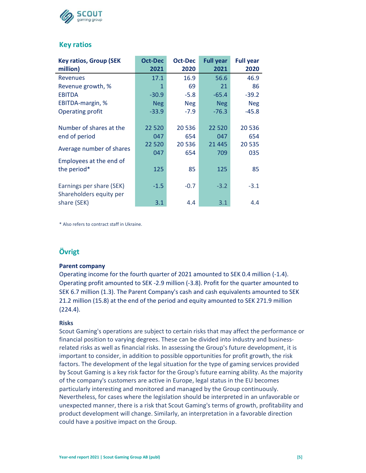

# Key ratios

| <b>Key ratios, Group (SEK</b><br>million) | <b>Oct-Dec</b><br>2021 | <b>Oct-Dec</b><br>2020 | <b>Full year</b><br>2021 | <b>Full year</b><br>2020 |
|-------------------------------------------|------------------------|------------------------|--------------------------|--------------------------|
| <b>Revenues</b>                           | 17.1                   | 16.9                   | 56.6                     | 46.9                     |
| Revenue growth, %                         | 1                      | 69                     | 21                       | 86                       |
| <b>EBITDA</b>                             | $-30.9$                | $-5.8$                 | $-65.4$                  | $-39.2$                  |
| EBITDA-margin, %                          | <b>Neg</b>             | <b>Neg</b>             | <b>Neg</b>               | <b>Neg</b>               |
| <b>Operating profit</b>                   | $-33.9$                | $-7.9$                 | $-76.3$                  | $-45.8$                  |
|                                           |                        |                        |                          |                          |
| Number of shares at the                   | 22 5 20                | 20 5 36                | 22 5 20                  | 20 536                   |
| end of period                             | 047                    | 654                    | 047                      | 654                      |
| Average number of shares                  | 22 5 20                | 20 536                 | 21 4 4 5                 | 20 535                   |
|                                           | 047                    | 654                    | 709                      | 035                      |
| Employees at the end of                   |                        |                        |                          |                          |
| the period*                               | 125                    | 85                     | 125                      | 85                       |
|                                           |                        |                        |                          |                          |
| Earnings per share (SEK)                  | $-1.5$                 | $-0.7$                 | $-3.2$                   | $-3.1$                   |
| Shareholders equity per                   |                        |                        |                          |                          |
| share (SEK)                               | 3.1                    | 4.4                    | 3.1                      | 4.4                      |

\* Also refers to contract staff in Ukraine.

# Övrigt

#### Parent company

Operating income for the fourth quarter of 2021 amounted to SEK 0.4 million (-1.4). Operating profit amounted to SEK -2.9 million (-3.8). Profit for the quarter amounted to SEK 6.7 million (1.3). The Parent Company's cash and cash equivalents amounted to SEK 21.2 million (15.8) at the end of the period and equity amounted to SEK 271.9 million (224.4).

#### Risks

Scout Gaming's operations are subject to certain risks that may affect the performance or financial position to varying degrees. These can be divided into industry and businessrelated risks as well as financial risks. In assessing the Group's future development, it is important to consider, in addition to possible opportunities for profit growth, the risk factors. The development of the legal situation for the type of gaming services provided by Scout Gaming is a key risk factor for the Group's future earning ability. As the majority of the company's customers are active in Europe, legal status in the EU becomes particularly interesting and monitored and managed by the Group continuously. Nevertheless, for cases where the legislation should be interpreted in an unfavorable or unexpected manner, there is a risk that Scout Gaming's terms of growth, profitability and product development will change. Similarly, an interpretation in a favorable direction could have a positive impact on the Group.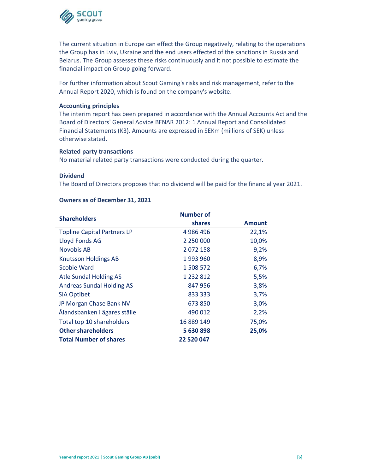

The current situation in Europe can effect the Group negatively, relating to the operations the Group has in Lviv, Ukraine and the end users effected of the sanctions in Russia and Belarus. The Group assesses these risks continuously and it not possible to estimate the financial impact on Group going forward.

For further information about Scout Gaming's risks and risk management, refer to the Annual Report 2020, which is found on the company's website.

#### Accounting principles

The interim report has been prepared in accordance with the Annual Accounts Act and the Board of Directors' General Advice BFNAR 2012: 1 Annual Report and Consolidated Financial Statements (K3). Amounts are expressed in SEKm (millions of SEK) unless otherwise stated.

#### Related party transactions

No material related party transactions were conducted during the quarter.

#### Dividend

The Board of Directors proposes that no dividend will be paid for the financial year 2021.

| <b>Shareholders</b>                | <b>Number of</b> |               |
|------------------------------------|------------------|---------------|
|                                    | shares           | <b>Amount</b> |
| <b>Topline Capital Partners LP</b> | 4986496          | 22,1%         |
| Lloyd Fonds AG                     | 2 250 000        | 10,0%         |
| Novobis AB                         | 2 0 7 2 1 5 8    | 9,2%          |
| <b>Knutsson Holdings AB</b>        | 1993960          | 8,9%          |
| Scobie Ward                        | 1 508 572        | 6,7%          |
| Atle Sundal Holding AS             | 1 2 3 2 8 1 2    | 5,5%          |
| <b>Andreas Sundal Holding AS</b>   | 847956           | 3,8%          |
| <b>SIA Optibet</b>                 | 833 333          | 3,7%          |
| JP Morgan Chase Bank NV            | 673850           | 3,0%          |
| Ålandsbanken i ägares ställe       | 490 012          | 2,2%          |
| Total top 10 shareholders          | 16 889 149       | 75,0%         |
| <b>Other shareholders</b>          | 5 630 898        | 25,0%         |
| <b>Total Number of shares</b>      | 22 520 047       |               |

#### Owners as of December 31, 2021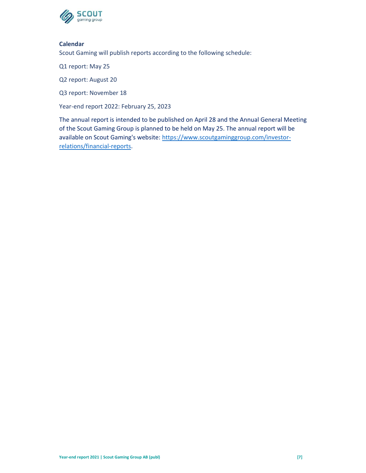

## Calendar

Scout Gaming will publish reports according to the following schedule:

Q1 report: May 25

Q2 report: August 20

Q3 report: November 18

Year-end report 2022: February 25, 2023

The annual report is intended to be published on April 28 and the Annual General Meeting of the Scout Gaming Group is planned to be held on May 25. The annual report will be available on Scout Gaming's website: https://www.scoutgaminggroup.com/investorrelations/financial-reports.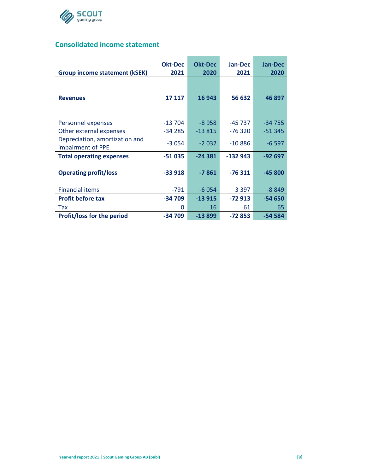

# Consolidated income statement

|                                                     | <b>Okt-Dec</b> | <b>Okt-Dec</b> | Jan-Dec   | Jan-Dec  |
|-----------------------------------------------------|----------------|----------------|-----------|----------|
| <b>Group income statement (kSEK)</b>                | 2021           | 2020           | 2021      | 2020     |
| <b>Revenues</b>                                     | 17 117         | 16943          | 56 632    | 46 897   |
|                                                     |                |                |           |          |
|                                                     |                |                |           |          |
| Personnel expenses                                  | $-13704$       | $-8958$        | -45 737   | $-34755$ |
| Other external expenses                             | $-34285$       | $-13815$       | $-76320$  | $-51345$ |
| Depreciation, amortization and<br>impairment of PPE | $-3054$        | $-2032$        | $-10886$  | $-6597$  |
| <b>Total operating expenses</b>                     | $-51035$       | $-24381$       | $-132943$ | $-92697$ |
| <b>Operating profit/loss</b>                        | $-33918$       | $-7861$        | $-76311$  | -45 800  |
|                                                     |                |                |           |          |
| <b>Financial items</b>                              | $-791$         | $-6054$        | 3 3 9 7   | -8 849   |
| <b>Profit before tax</b>                            | $-34709$       | $-13915$       | $-72913$  | -54 650  |
| Tax                                                 | 0              | 16             | 61        | 65       |
| <b>Profit/loss for the period</b>                   | $-34709$       | $-13899$       | $-72853$  | -54 584  |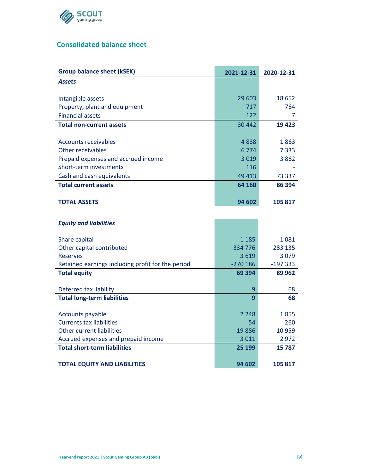

# Consolidated balance sheet

| <b>Group balance sheet (kSEK)</b>                 | 2021-12-31 | 2020-12-31 |
|---------------------------------------------------|------------|------------|
| <b>Assets</b>                                     |            |            |
|                                                   |            |            |
| Intangible assets                                 | 29 603     | 18 6 52    |
| Property, plant and equipment                     | 717        | 764        |
| <b>Financial assets</b>                           | 122        | 7          |
| <b>Total non-current assets</b>                   | 30 442     | 19 4 23    |
|                                                   |            |            |
| Accounts receivables                              | 4838       | 1863       |
| <b>Other receivables</b>                          | 6774       | 7333       |
| Prepaid expenses and accrued income               | 3 0 1 9    | 3862       |
| Short-term investments                            | 116        |            |
| Cash and cash equivalents                         | 49 413     | 73 337     |
| <b>Total current assets</b>                       | 64 160     | 86 394     |
|                                                   |            |            |
| <b>TOTAL ASSETS</b>                               | 94 602     | 105 817    |
|                                                   |            |            |
| <b>Equity and liabilities</b>                     |            |            |
|                                                   |            |            |
| Share capital                                     | 1 1 8 5    | 1081       |
| Other capital contributed                         | 334 776    | 283 135    |
| <b>Reserves</b>                                   | 3619       | 3 0 7 9    |
| Retained earnings including profit for the period | -270 186   | $-197333$  |
| <b>Total equity</b>                               | 69 394     | 89 962     |
|                                                   |            |            |
| Deferred tax liability                            | 9          | 68         |
| <b>Total long-term liabilities</b>                | 9          | 68         |
|                                                   |            |            |
| Accounts payable                                  | 2 2 4 8    | 1855       |
| <b>Currents tax liabilities</b>                   | 54         | 260        |
| <b>Other current liabilities</b>                  | 19886      | 10 959     |
| Accrued expenses and prepaid income               | 3 0 1 1    | 2972       |
| <b>Total short-term liabilities</b>               | 25 199     | 15 787     |
| <b>TOTAL EQUITY AND LIABILITIES</b>               | 94 602     | 105817     |
|                                                   |            |            |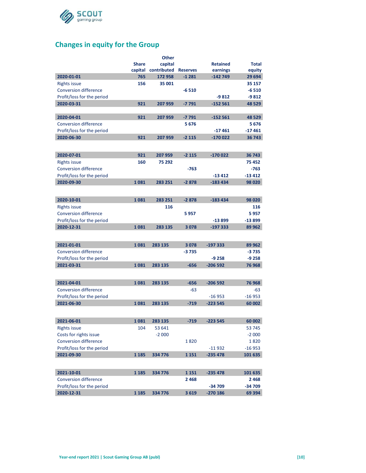

# Changes in equity for the Group

|                              |              | <b>Other</b>        |                 |                 |              |
|------------------------------|--------------|---------------------|-----------------|-----------------|--------------|
|                              | <b>Share</b> | capital             |                 | <b>Retained</b> | <b>Total</b> |
|                              |              | capital contributed | <b>Reserves</b> | earnings        | equity       |
| 2020-01-01                   | 765          | 172 958             | $-1281$         | $-142749$       | 29 694       |
| <b>Rights issue</b>          | 156          | 35 001              |                 |                 | 35 157       |
| <b>Conversion difference</b> |              |                     | $-6510$         |                 | $-6510$      |
| Profit/loss for the period   |              |                     |                 | -9812           | $-9812$      |
| 2020-03-31                   | 921          | 207 959             | $-7791$         | $-152561$       | 48 5 29      |
|                              |              |                     |                 |                 |              |
| 2020-04-01                   | 921          | 207 959             | $-7791$         | $-152561$       | 48 529       |
| <b>Conversion difference</b> |              |                     | 5676            |                 | 5676         |
| Profit/loss for the period   |              |                     |                 | $-17461$        | $-17461$     |
| 2020-06-30                   | 921          | 207 959             | $-2115$         | $-170022$       | 36743        |
|                              |              |                     |                 |                 |              |
|                              |              |                     |                 |                 |              |
| 2020-07-01                   | 921          | 207 959             | $-2115$         | $-170022$       | 36 743       |
| <b>Rights issue</b>          | 160          | 75 292              |                 |                 | 75 452       |
| <b>Conversion difference</b> |              |                     | -763            |                 | -763         |
| Profit/loss for the period   |              |                     |                 | $-13412$        | $-13412$     |
| 2020-09-30                   | 1081         | 283 251             | $-2878$         | $-1834$         | 98 0 20      |
|                              |              |                     |                 |                 |              |
| 2020-10-01                   | 1081         | 283 251             | $-2878$         | $-1834$         | 98 0 20      |
| Rights issue                 |              | 116                 |                 |                 | 116          |
| <b>Conversion difference</b> |              |                     | 5957            |                 | 5957         |
| Profit/loss for the period   |              |                     |                 | $-13899$        | $-13899$     |
| 2020-12-31                   | 1081         | 283 135             | 3078            | $-197333$       | 89 962       |
|                              |              |                     |                 |                 |              |
|                              |              |                     |                 |                 |              |
| 2021-01-01                   | 1081         | 283 135             | 3078            | $-197333$       | 89 962       |
| <b>Conversion difference</b> |              |                     | $-3735$         |                 | $-3735$      |
| Profit/loss for the period   |              |                     |                 | $-9258$         | $-9258$      |
| 2021-03-31                   | 1081         | 283 135             | $-656$          | $-206592$       | 76 968       |
|                              |              |                     |                 |                 |              |
|                              |              |                     |                 |                 |              |
| 2021-04-01                   | 1081         | 283 135             | $-656$          | $-206592$       | 76 968       |
| <b>Conversion difference</b> |              |                     | -63             |                 | $-63$        |
| Profit/loss for the period   |              |                     |                 | $-16953$        | $-16953$     |
| 2021-06-30                   | 1081         | 283 135             | $-719$          | $-223545$       | 60 002       |
|                              |              |                     |                 |                 |              |
| 2021-06-01                   | 1081         | 283 135             | $-719$          | .2235           | 60 002       |
| <b>Rights issue</b>          | 104          | 53 641              |                 |                 | 53 745       |
| Costs for rights issue       |              | $-2000$             |                 |                 | $-2000$      |
| <b>Conversion difference</b> |              |                     | 1820            |                 | 1820         |
| Profit/loss for the period   |              |                     |                 | $-11932$        | $-16953$     |
| 2021-09-30                   | 1 1 8 5      | 334776              | 1 1 5 1         | $-235478$       | 101 635      |
|                              |              |                     |                 |                 |              |
|                              |              |                     |                 |                 |              |
| 2021-10-01                   | 1 1 8 5      | 334 776             | 1 1 5 1         | $-235478$       | 101 635      |
| <b>Conversion difference</b> |              |                     | 2468            |                 | 2 4 6 8      |
| Profit/loss for the period   |              |                     |                 | -34 709         | -34 709      |
| 2020-12-31                   | 1 1 8 5      | 334 776             | 3 6 1 9         | $-270186$       | 69 394       |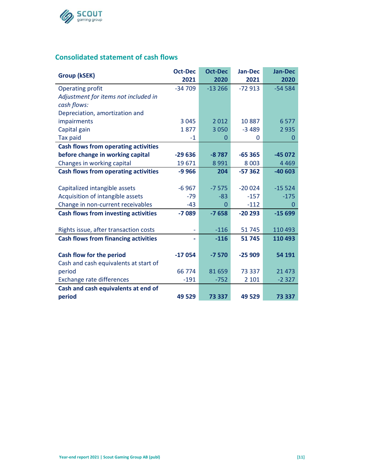

# Consolidated statement of cash flows

| <b>Group (kSEK)</b>                         | <b>Oct-Dec</b><br>2021 | <b>Oct-Dec</b><br>2020 | <b>Jan-Dec</b><br>2021 | <b>Jan-Dec</b><br>2020 |
|---------------------------------------------|------------------------|------------------------|------------------------|------------------------|
| <b>Operating profit</b>                     | $-34709$               | $-13266$               | $-72913$               | $-54584$               |
| Adjustment for items not included in        |                        |                        |                        |                        |
| cash flows:                                 |                        |                        |                        |                        |
| Depreciation, amortization and              |                        |                        |                        |                        |
| impairments                                 | 3 0 4 5                | 2012                   | 10887                  | 6577                   |
| Capital gain                                | 1877                   | 3 0 5 0                | $-3489$                | 2935                   |
| <b>Tax paid</b>                             | $-1$                   | 0                      | 0                      | 0                      |
| <b>Cash flows from operating activities</b> |                        |                        |                        |                        |
| before change in working capital            | $-29636$               | $-8787$                | $-65365$               | $-45072$               |
| Changes in working capital                  | 19671                  | 8 9 9 1                | 8 0 0 3                | 4 4 6 9                |
| <b>Cash flows from operating activities</b> | $-9966$                | 204                    | $-57362$               | $-40603$               |
|                                             |                        |                        |                        |                        |
| Capitalized intangible assets               | $-6967$                | $-7575$                | $-20024$               | $-15524$               |
| Acquisition of intangible assets            | $-79$                  | $-83$                  | $-157$                 | $-175$                 |
| Change in non-current receivables           | $-43$                  | $\overline{0}$         | $-112$                 | $\Omega$               |
| <b>Cash flows from investing activities</b> | $-7089$                | $-7658$                | $-20293$               | $-15699$               |
|                                             |                        |                        |                        |                        |
| Rights issue, after transaction costs       |                        | $-116$                 | 51745                  | 110 493                |
| <b>Cash flows from financing activities</b> | ۰                      | $-116$                 | 51 745                 | 110 493                |
|                                             |                        |                        |                        |                        |
| Cash flow for the period                    | $-17054$               | $-7570$                | $-25909$               | 54 191                 |
| Cash and cash equivalents at start of       |                        |                        |                        |                        |
| period                                      | 66 774                 | 81 659                 | 73 337                 | 21 4 7 3               |
| Exchange rate differences                   | $-191$                 | $-752$                 | 2 1 0 1                | $-2327$                |
| Cash and cash equivalents at end of         |                        |                        |                        |                        |
| period                                      | 49 5 29                | 73 337                 | 49 529                 | 73 337                 |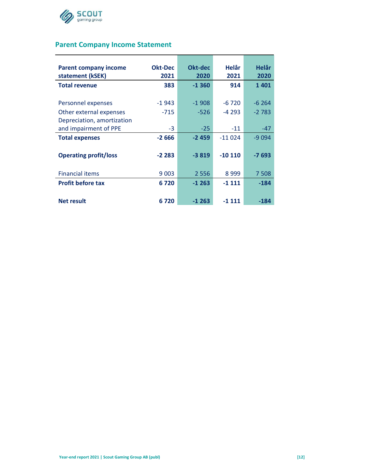

# Parent Company Income Statement

| <b>Parent company income</b><br>statement (kSEK) | <b>Okt-Dec</b><br>2021 | Okt-dec<br>2020 | Helår<br>2021 | <b>Helår</b><br>2020 |
|--------------------------------------------------|------------------------|-----------------|---------------|----------------------|
| <b>Total revenue</b>                             | 383                    | $-1360$         | 914           | 1401                 |
|                                                  |                        |                 |               |                      |
| Personnel expenses                               | $-1943$                | $-1908$         | $-6720$       | $-6264$              |
| Other external expenses                          | $-715$                 | $-526$          | $-4293$       | $-2783$              |
| Depreciation, amortization                       |                        |                 |               |                      |
| and impairment of PPE                            | -3                     | $-25$           | $-11$         | $-47$                |
| <b>Total expenses</b>                            | $-2666$                | $-2459$         | $-11024$      | $-9094$              |
|                                                  |                        |                 |               |                      |
| <b>Operating profit/loss</b>                     | $-2283$                | $-3819$         | $-10110$      | $-7693$              |
|                                                  |                        |                 |               |                      |
| <b>Financial items</b>                           | 9 0 03                 | 2 5 5 6         | 8999          | 7 508                |
| <b>Profit before tax</b>                         | 6720                   | $-1263$         | $-1111$       | $-184$               |
|                                                  |                        |                 |               |                      |
| <b>Net result</b>                                | 6 720                  | -1 263          | -1 111        | -184                 |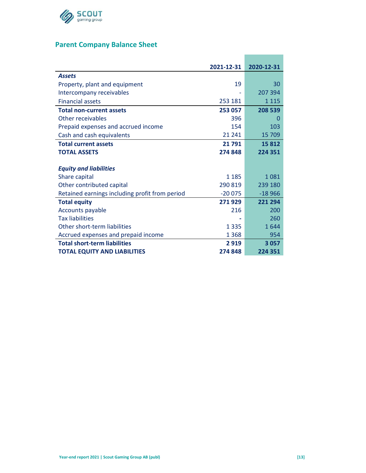

# Parent Company Balance Sheet

|                                                | 2021-12-31 | 2020-12-31 |
|------------------------------------------------|------------|------------|
| <b>Assets</b>                                  |            |            |
| Property, plant and equipment                  | 19         | 30         |
| Intercompany receivables                       |            | 207 394    |
| <b>Financial assets</b>                        | 253 181    | 1 1 1 5    |
| <b>Total non-current assets</b>                | 253 057    | 208 539    |
| Other receivables                              | 396        | 0          |
| Prepaid expenses and accrued income            | 154        | 103        |
| Cash and cash equivalents                      | 21 241     | 15 709     |
| <b>Total current assets</b>                    | 21 791     | 15 812     |
| <b>TOTAL ASSETS</b>                            | 274 848    | 224 351    |
|                                                |            |            |
| <b>Equity and liabilities</b>                  |            |            |
| Share capital                                  | 1 1 8 5    | 1081       |
| Other contributed capital                      | 290 819    | 239 180    |
| Retained earnings including profit from period | $-20075$   | $-18966$   |
| <b>Total equity</b>                            | 271929     | 221 294    |
| <b>Accounts payable</b>                        | 216        | 200        |
| <b>Tax liabilities</b>                         |            | 260        |
| Other short-term liabilities                   | 1 3 3 5    | 1644       |
| Accrued expenses and prepaid income            | 1 3 6 8    | 954        |
| <b>Total short-term liabilities</b>            | 2919       | 3057       |
| <b>TOTAL EQUITY AND LIABILITIES</b>            | 274 848    | 224 351    |

 $\mathcal{L}_{\text{max}}$  and  $\mathcal{L}_{\text{max}}$  . The set of  $\mathcal{L}_{\text{max}}$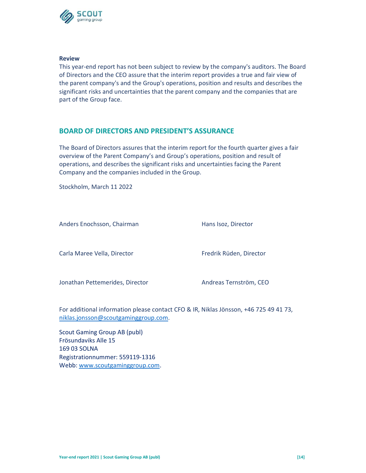

#### Review

This year-end report has not been subject to review by the company's auditors. The Board of Directors and the CEO assure that the interim report provides a true and fair view of the parent company's and the Group's operations, position and results and describes the significant risks and uncertainties that the parent company and the companies that are part of the Group face.

## BOARD OF DIRECTORS AND PRESIDENT'S ASSURANCE

The Board of Directors assures that the interim report for the fourth quarter gives a fair overview of the Parent Company's and Group's operations, position and result of operations, and describes the significant risks and uncertainties facing the Parent Company and the companies included in the Group.

Stockholm, March 11 2022

Anders Enochsson, Chairman Hans Isoz, Director

Carla Maree Vella, Director **Fredrik Rüden, Director** Fredrik Rüden, Director

Jonathan Pettemerides, Director Andreas Ternström, CEO

For additional information please contact CFO & IR, Niklas Jönsson, +46 725 49 41 73, niklas.jonsson@scoutgaminggroup.com.

Scout Gaming Group AB (publ) Frösundaviks Alle 15 169 03 SOLNA Registrationnummer: 559119-1316 Webb: www.scoutgaminggroup.com.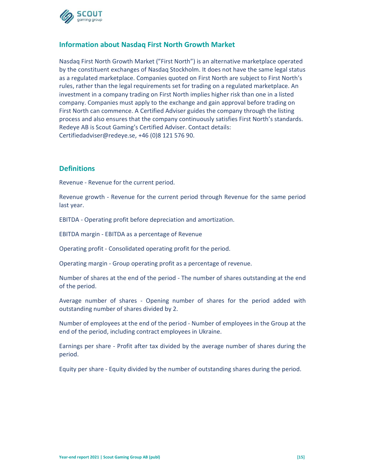

## Information about Nasdaq First North Growth Market

Nasdaq First North Growth Market ("First North") is an alternative marketplace operated by the constituent exchanges of Nasdaq Stockholm. It does not have the same legal status as a regulated marketplace. Companies quoted on First North are subject to First North's rules, rather than the legal requirements set for trading on a regulated marketplace. An investment in a company trading on First North implies higher risk than one in a listed company. Companies must apply to the exchange and gain approval before trading on First North can commence. A Certified Adviser guides the company through the listing process and also ensures that the company continuously satisfies First North's standards. Redeye AB is Scout Gaming's Certified Adviser. Contact details: Certifiedadviser@redeye.se, +46 (0)8 121 576 90.

## **Definitions**

Revenue - Revenue for the current period.

Revenue growth - Revenue for the current period through Revenue for the same period last year.

EBITDA - Operating profit before depreciation and amortization.

EBITDA margin - EBITDA as a percentage of Revenue

Operating profit - Consolidated operating profit for the period.

Operating margin - Group operating profit as a percentage of revenue.

Number of shares at the end of the period - The number of shares outstanding at the end of the period.

Average number of shares - Opening number of shares for the period added with outstanding number of shares divided by 2.

Number of employees at the end of the period - Number of employees in the Group at the end of the period, including contract employees in Ukraine.

Earnings per share - Profit after tax divided by the average number of shares during the period.

Equity per share - Equity divided by the number of outstanding shares during the period.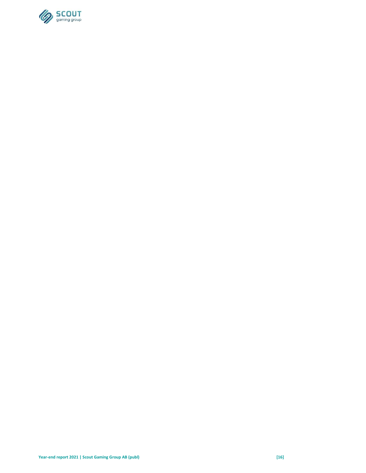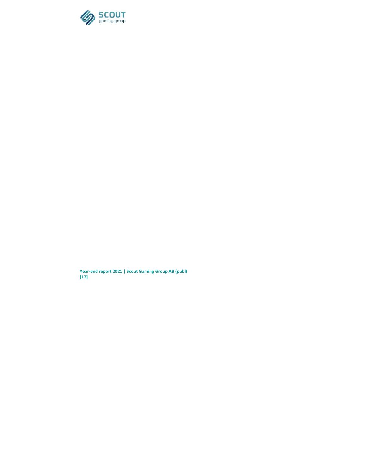

Year-end report 2021 | Scout Gaming Group AB (publ) [17]